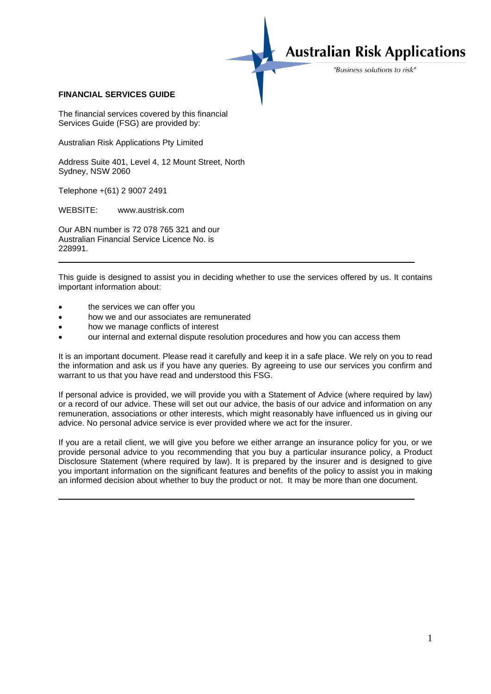## **Australian Risk Applications**

"Business solutions to risk"

## **FINANCIAL SERVICES GUIDE**

The financial services covered by this financial Services Guide (FSG) are provided by:

Australian Risk Applications Pty Limited

Address Suite 401, Level 4, 12 Mount Street, North Sydney, NSW 2060

Telephone +(61) 2 9007 2491

WEBSITE: www.austrisk.com

Our ABN number is 72 078 765 321 and our Australian Financial Service Licence No. is 228991.

This guide is designed to assist you in deciding whether to use the services offered by us. It contains important information about:

- the services we can offer you
- how we and our associates are remunerated
- how we manage conflicts of interest
- our internal and external dispute resolution procedures and how you can access them

It is an important document. Please read it carefully and keep it in a safe place. We rely on you to read the information and ask us if you have any queries. By agreeing to use our services you confirm and warrant to us that you have read and understood this FSG.

If personal advice is provided, we will provide you with a Statement of Advice (where required by law) or a record of our advice. These will set out our advice, the basis of our advice and information on any remuneration, associations or other interests, which might reasonably have influenced us in giving our advice. No personal advice service is ever provided where we act for the insurer.

If you are a retail client, we will give you before we either arrange an insurance policy for you, or we provide personal advice to you recommending that you buy a particular insurance policy, a Product Disclosure Statement (where required by law). It is prepared by the insurer and is designed to give you important information on the significant features and benefits of the policy to assist you in making an informed decision about whether to buy the product or not. It may be more than one document.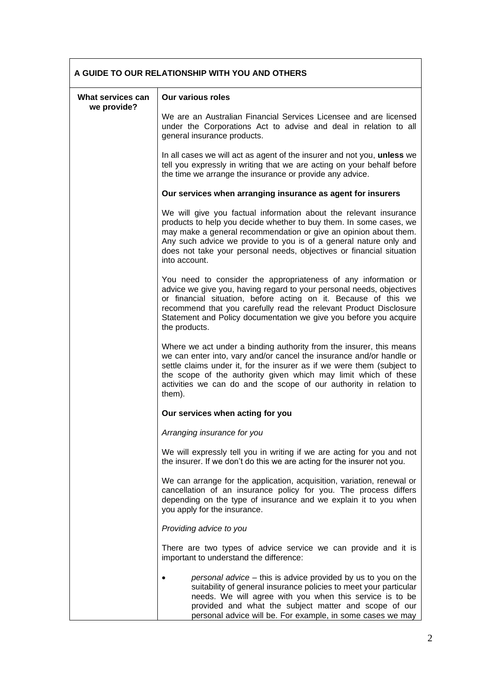| A GUIDE TO OUR RELATIONSHIP WITH YOU AND OTHERS |                                                                                                                                                                                                                                                                                                                                                                           |
|-------------------------------------------------|---------------------------------------------------------------------------------------------------------------------------------------------------------------------------------------------------------------------------------------------------------------------------------------------------------------------------------------------------------------------------|
| What services can<br>we provide?                | <b>Our various roles</b>                                                                                                                                                                                                                                                                                                                                                  |
|                                                 | We are an Australian Financial Services Licensee and are licensed<br>under the Corporations Act to advise and deal in relation to all<br>general insurance products.                                                                                                                                                                                                      |
|                                                 | In all cases we will act as agent of the insurer and not you, unless we<br>tell you expressly in writing that we are acting on your behalf before<br>the time we arrange the insurance or provide any advice.                                                                                                                                                             |
|                                                 | Our services when arranging insurance as agent for insurers                                                                                                                                                                                                                                                                                                               |
|                                                 | We will give you factual information about the relevant insurance<br>products to help you decide whether to buy them. In some cases, we<br>may make a general recommendation or give an opinion about them.<br>Any such advice we provide to you is of a general nature only and<br>does not take your personal needs, objectives or financial situation<br>into account. |
|                                                 | You need to consider the appropriateness of any information or<br>advice we give you, having regard to your personal needs, objectives<br>or financial situation, before acting on it. Because of this we<br>recommend that you carefully read the relevant Product Disclosure<br>Statement and Policy documentation we give you before you acquire<br>the products.      |
|                                                 | Where we act under a binding authority from the insurer, this means<br>we can enter into, vary and/or cancel the insurance and/or handle or<br>settle claims under it, for the insurer as if we were them (subject to<br>the scope of the authority given which may limit which of these<br>activities we can do and the scope of our authority in relation to<br>them).  |
|                                                 | Our services when acting for you                                                                                                                                                                                                                                                                                                                                          |
|                                                 | Arranging insurance for you                                                                                                                                                                                                                                                                                                                                               |
|                                                 | We will expressly tell you in writing if we are acting for you and not<br>the insurer. If we don't do this we are acting for the insurer not you.                                                                                                                                                                                                                         |
|                                                 | We can arrange for the application, acquisition, variation, renewal or<br>cancellation of an insurance policy for you. The process differs<br>depending on the type of insurance and we explain it to you when<br>you apply for the insurance.                                                                                                                            |
|                                                 | Providing advice to you                                                                                                                                                                                                                                                                                                                                                   |
|                                                 | There are two types of advice service we can provide and it is<br>important to understand the difference:                                                                                                                                                                                                                                                                 |
|                                                 | personal advice – this is advice provided by us to you on the<br>suitability of general insurance policies to meet your particular<br>needs. We will agree with you when this service is to be<br>provided and what the subject matter and scope of our<br>personal advice will be. For example, in some cases we may                                                     |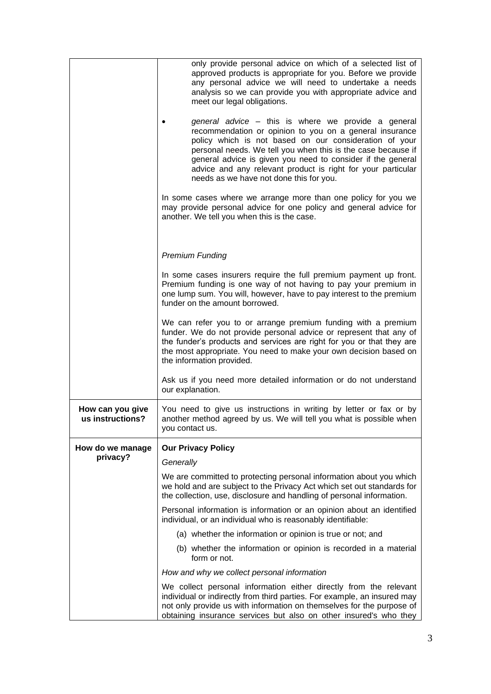|                                      | only provide personal advice on which of a selected list of<br>approved products is appropriate for you. Before we provide<br>any personal advice we will need to undertake a needs<br>analysis so we can provide you with appropriate advice and<br>meet our legal obligations.<br>general advice – this is where we provide a general<br>recommendation or opinion to you on a general insurance<br>policy which is not based on our consideration of your<br>personal needs. We tell you when this is the case because if<br>general advice is given you need to consider if the general<br>advice and any relevant product is right for your particular<br>needs as we have not done this for you.<br>In some cases where we arrange more than one policy for you we<br>may provide personal advice for one policy and general advice for<br>another. We tell you when this is the case. |
|--------------------------------------|----------------------------------------------------------------------------------------------------------------------------------------------------------------------------------------------------------------------------------------------------------------------------------------------------------------------------------------------------------------------------------------------------------------------------------------------------------------------------------------------------------------------------------------------------------------------------------------------------------------------------------------------------------------------------------------------------------------------------------------------------------------------------------------------------------------------------------------------------------------------------------------------|
|                                      | <b>Premium Funding</b>                                                                                                                                                                                                                                                                                                                                                                                                                                                                                                                                                                                                                                                                                                                                                                                                                                                                       |
|                                      |                                                                                                                                                                                                                                                                                                                                                                                                                                                                                                                                                                                                                                                                                                                                                                                                                                                                                              |
|                                      | In some cases insurers require the full premium payment up front.<br>Premium funding is one way of not having to pay your premium in<br>one lump sum. You will, however, have to pay interest to the premium<br>funder on the amount borrowed.                                                                                                                                                                                                                                                                                                                                                                                                                                                                                                                                                                                                                                               |
|                                      | We can refer you to or arrange premium funding with a premium<br>funder. We do not provide personal advice or represent that any of<br>the funder's products and services are right for you or that they are<br>the most appropriate. You need to make your own decision based on<br>the information provided.                                                                                                                                                                                                                                                                                                                                                                                                                                                                                                                                                                               |
|                                      | Ask us if you need more detailed information or do not understand<br>our explanation.                                                                                                                                                                                                                                                                                                                                                                                                                                                                                                                                                                                                                                                                                                                                                                                                        |
| How can you give<br>us instructions? | You need to give us instructions in writing by letter or fax or by<br>another method agreed by us. We will tell you what is possible when<br>you contact us.                                                                                                                                                                                                                                                                                                                                                                                                                                                                                                                                                                                                                                                                                                                                 |
| How do we manage                     | <b>Our Privacy Policy</b>                                                                                                                                                                                                                                                                                                                                                                                                                                                                                                                                                                                                                                                                                                                                                                                                                                                                    |
| privacy?                             | Generally                                                                                                                                                                                                                                                                                                                                                                                                                                                                                                                                                                                                                                                                                                                                                                                                                                                                                    |
|                                      | We are committed to protecting personal information about you which<br>we hold and are subject to the Privacy Act which set out standards for<br>the collection, use, disclosure and handling of personal information.                                                                                                                                                                                                                                                                                                                                                                                                                                                                                                                                                                                                                                                                       |
|                                      | Personal information is information or an opinion about an identified<br>individual, or an individual who is reasonably identifiable:                                                                                                                                                                                                                                                                                                                                                                                                                                                                                                                                                                                                                                                                                                                                                        |
|                                      | (a) whether the information or opinion is true or not; and                                                                                                                                                                                                                                                                                                                                                                                                                                                                                                                                                                                                                                                                                                                                                                                                                                   |
|                                      | (b) whether the information or opinion is recorded in a material<br>form or not.                                                                                                                                                                                                                                                                                                                                                                                                                                                                                                                                                                                                                                                                                                                                                                                                             |
|                                      | How and why we collect personal information                                                                                                                                                                                                                                                                                                                                                                                                                                                                                                                                                                                                                                                                                                                                                                                                                                                  |
|                                      | We collect personal information either directly from the relevant<br>individual or indirectly from third parties. For example, an insured may<br>not only provide us with information on themselves for the purpose of<br>obtaining insurance services but also on other insured's who they                                                                                                                                                                                                                                                                                                                                                                                                                                                                                                                                                                                                  |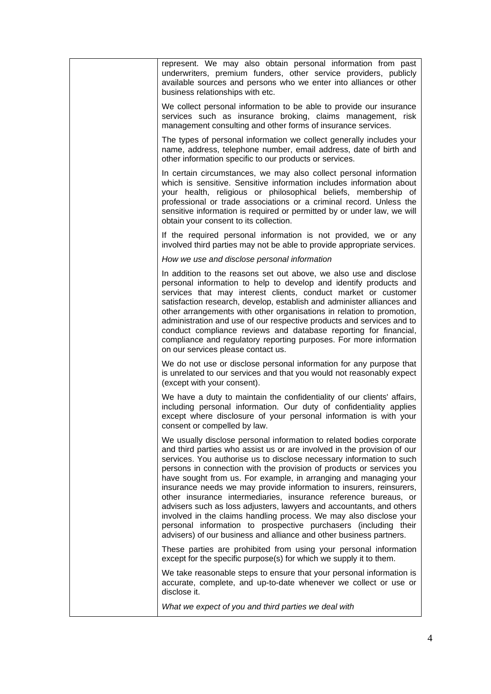| represent. We may also obtain personal information from past<br>underwriters, premium funders, other service providers, publicly<br>available sources and persons who we enter into alliances or other<br>business relationships with etc.                                                                                                                                                                                                                                                                                                                                                                                                                                                                                                                                                            |
|-------------------------------------------------------------------------------------------------------------------------------------------------------------------------------------------------------------------------------------------------------------------------------------------------------------------------------------------------------------------------------------------------------------------------------------------------------------------------------------------------------------------------------------------------------------------------------------------------------------------------------------------------------------------------------------------------------------------------------------------------------------------------------------------------------|
| We collect personal information to be able to provide our insurance<br>services such as insurance broking, claims management, risk<br>management consulting and other forms of insurance services.                                                                                                                                                                                                                                                                                                                                                                                                                                                                                                                                                                                                    |
| The types of personal information we collect generally includes your<br>name, address, telephone number, email address, date of birth and<br>other information specific to our products or services.                                                                                                                                                                                                                                                                                                                                                                                                                                                                                                                                                                                                  |
| In certain circumstances, we may also collect personal information<br>which is sensitive. Sensitive information includes information about<br>your health, religious or philosophical beliefs, membership of<br>professional or trade associations or a criminal record. Unless the<br>sensitive information is required or permitted by or under law, we will<br>obtain your consent to its collection.                                                                                                                                                                                                                                                                                                                                                                                              |
| If the required personal information is not provided, we or any<br>involved third parties may not be able to provide appropriate services.                                                                                                                                                                                                                                                                                                                                                                                                                                                                                                                                                                                                                                                            |
| How we use and disclose personal information                                                                                                                                                                                                                                                                                                                                                                                                                                                                                                                                                                                                                                                                                                                                                          |
| In addition to the reasons set out above, we also use and disclose<br>personal information to help to develop and identify products and<br>services that may interest clients, conduct market or customer<br>satisfaction research, develop, establish and administer alliances and<br>other arrangements with other organisations in relation to promotion,<br>administration and use of our respective products and services and to<br>conduct compliance reviews and database reporting for financial,<br>compliance and regulatory reporting purposes. For more information<br>on our services please contact us.                                                                                                                                                                                 |
| We do not use or disclose personal information for any purpose that<br>is unrelated to our services and that you would not reasonably expect<br>(except with your consent).                                                                                                                                                                                                                                                                                                                                                                                                                                                                                                                                                                                                                           |
| We have a duty to maintain the confidentiality of our clients' affairs,<br>including personal information. Our duty of confidentiality applies<br>except where disclosure of your personal information is with your<br>consent or compelled by law.                                                                                                                                                                                                                                                                                                                                                                                                                                                                                                                                                   |
| We usually disclose personal information to related bodies corporate<br>and third parties who assist us or are involved in the provision of our<br>services. You authorise us to disclose necessary information to such<br>persons in connection with the provision of products or services you<br>have sought from us. For example, in arranging and managing your<br>insurance needs we may provide information to insurers, reinsurers,<br>other insurance intermediaries, insurance reference bureaus, or<br>advisers such as loss adjusters, lawyers and accountants, and others<br>involved in the claims handling process. We may also disclose your<br>personal information to prospective purchasers (including their<br>advisers) of our business and alliance and other business partners. |
| These parties are prohibited from using your personal information<br>except for the specific purpose(s) for which we supply it to them.                                                                                                                                                                                                                                                                                                                                                                                                                                                                                                                                                                                                                                                               |
| We take reasonable steps to ensure that your personal information is<br>accurate, complete, and up-to-date whenever we collect or use or<br>disclose it.                                                                                                                                                                                                                                                                                                                                                                                                                                                                                                                                                                                                                                              |
| What we expect of you and third parties we deal with                                                                                                                                                                                                                                                                                                                                                                                                                                                                                                                                                                                                                                                                                                                                                  |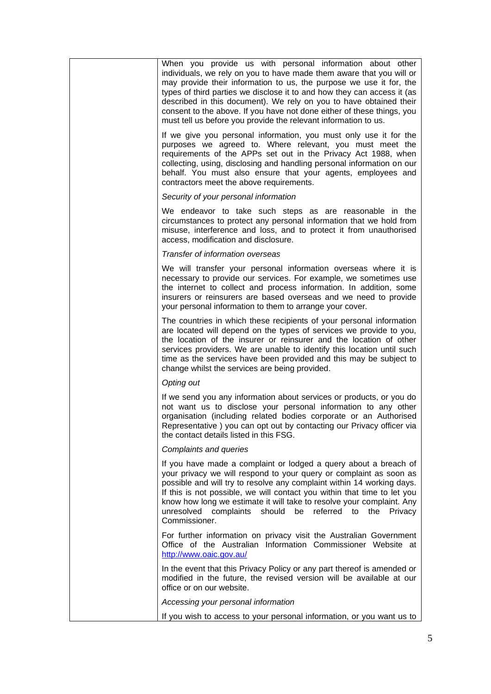| When you provide us with personal information about other<br>individuals, we rely on you to have made them aware that you will or<br>may provide their information to us, the purpose we use it for, the<br>types of third parties we disclose it to and how they can access it (as<br>described in this document). We rely on you to have obtained their<br>consent to the above. If you have not done either of these things, you<br>must tell us before you provide the relevant information to us. |
|--------------------------------------------------------------------------------------------------------------------------------------------------------------------------------------------------------------------------------------------------------------------------------------------------------------------------------------------------------------------------------------------------------------------------------------------------------------------------------------------------------|
| If we give you personal information, you must only use it for the<br>purposes we agreed to. Where relevant, you must meet the<br>requirements of the APPs set out in the Privacy Act 1988, when<br>collecting, using, disclosing and handling personal information on our<br>behalf. You must also ensure that your agents, employees and<br>contractors meet the above requirements.                                                                                                                  |
| Security of your personal information                                                                                                                                                                                                                                                                                                                                                                                                                                                                  |
| We endeavor to take such steps as are reasonable in the<br>circumstances to protect any personal information that we hold from<br>misuse, interference and loss, and to protect it from unauthorised<br>access, modification and disclosure.                                                                                                                                                                                                                                                           |
| Transfer of information overseas                                                                                                                                                                                                                                                                                                                                                                                                                                                                       |
| We will transfer your personal information overseas where it is<br>necessary to provide our services. For example, we sometimes use<br>the internet to collect and process information. In addition, some<br>insurers or reinsurers are based overseas and we need to provide<br>your personal information to them to arrange your cover.                                                                                                                                                              |
| The countries in which these recipients of your personal information<br>are located will depend on the types of services we provide to you,<br>the location of the insurer or reinsurer and the location of other<br>services providers. We are unable to identify this location until such<br>time as the services have been provided and this may be subject to<br>change whilst the services are being provided.                                                                                    |
| Opting out                                                                                                                                                                                                                                                                                                                                                                                                                                                                                             |
| If we send you any information about services or products, or you do<br>not want us to disclose your personal information to any other<br>organisation (including related bodies corporate or an Authorised<br>Representative ) you can opt out by contacting our Privacy officer via<br>the contact details listed in this FSG.                                                                                                                                                                       |
| Complaints and queries                                                                                                                                                                                                                                                                                                                                                                                                                                                                                 |
| If you have made a complaint or lodged a query about a breach of<br>your privacy we will respond to your query or complaint as soon as<br>possible and will try to resolve any complaint within 14 working days.<br>If this is not possible, we will contact you within that time to let you<br>know how long we estimate it will take to resolve your complaint. Any<br>unresolved complaints should be referred to<br>the<br><b>Privacy</b><br>Commissioner.                                         |
| For further information on privacy visit the Australian Government<br>Office of the Australian Information Commissioner Website at<br>http://www.oaic.gov.au/                                                                                                                                                                                                                                                                                                                                          |
| In the event that this Privacy Policy or any part thereof is amended or<br>modified in the future, the revised version will be available at our<br>office or on our website.                                                                                                                                                                                                                                                                                                                           |
| Accessing your personal information                                                                                                                                                                                                                                                                                                                                                                                                                                                                    |
| If you wish to access to your personal information, or you want us to                                                                                                                                                                                                                                                                                                                                                                                                                                  |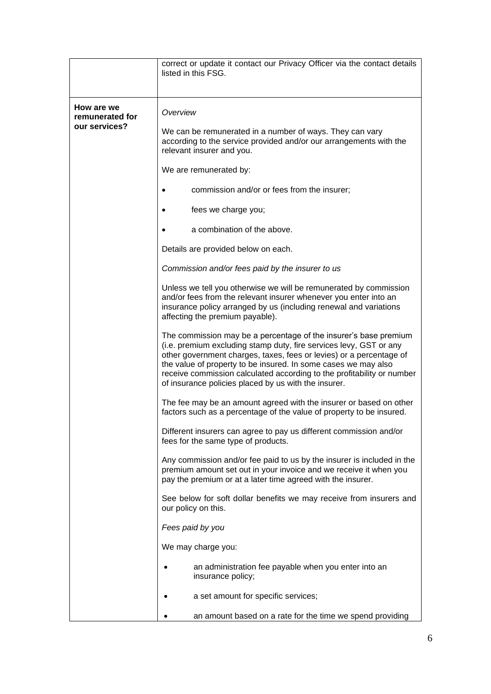|                                                | correct or update it contact our Privacy Officer via the contact details<br>listed in this FSG.                                                                                                                                                                                                                                                                                                                   |
|------------------------------------------------|-------------------------------------------------------------------------------------------------------------------------------------------------------------------------------------------------------------------------------------------------------------------------------------------------------------------------------------------------------------------------------------------------------------------|
| How are we<br>remunerated for<br>our services? | Overview                                                                                                                                                                                                                                                                                                                                                                                                          |
|                                                | We can be remunerated in a number of ways. They can vary<br>according to the service provided and/or our arrangements with the<br>relevant insurer and you.                                                                                                                                                                                                                                                       |
|                                                | We are remunerated by:                                                                                                                                                                                                                                                                                                                                                                                            |
|                                                | commission and/or or fees from the insurer;                                                                                                                                                                                                                                                                                                                                                                       |
|                                                | fees we charge you;<br>٠                                                                                                                                                                                                                                                                                                                                                                                          |
|                                                | a combination of the above.                                                                                                                                                                                                                                                                                                                                                                                       |
|                                                | Details are provided below on each.                                                                                                                                                                                                                                                                                                                                                                               |
|                                                | Commission and/or fees paid by the insurer to us                                                                                                                                                                                                                                                                                                                                                                  |
|                                                | Unless we tell you otherwise we will be remunerated by commission<br>and/or fees from the relevant insurer whenever you enter into an<br>insurance policy arranged by us (including renewal and variations<br>affecting the premium payable).                                                                                                                                                                     |
|                                                | The commission may be a percentage of the insurer's base premium<br>(i.e. premium excluding stamp duty, fire services levy, GST or any<br>other government charges, taxes, fees or levies) or a percentage of<br>the value of property to be insured. In some cases we may also<br>receive commission calculated according to the profitability or number<br>of insurance policies placed by us with the insurer. |
|                                                | The fee may be an amount agreed with the insurer or based on other<br>factors such as a percentage of the value of property to be insured.                                                                                                                                                                                                                                                                        |
|                                                | Different insurers can agree to pay us different commission and/or<br>fees for the same type of products.                                                                                                                                                                                                                                                                                                         |
|                                                | Any commission and/or fee paid to us by the insurer is included in the<br>premium amount set out in your invoice and we receive it when you<br>pay the premium or at a later time agreed with the insurer.                                                                                                                                                                                                        |
|                                                | See below for soft dollar benefits we may receive from insurers and<br>our policy on this.                                                                                                                                                                                                                                                                                                                        |
|                                                | Fees paid by you                                                                                                                                                                                                                                                                                                                                                                                                  |
|                                                | We may charge you:                                                                                                                                                                                                                                                                                                                                                                                                |
|                                                | an administration fee payable when you enter into an<br>insurance policy;                                                                                                                                                                                                                                                                                                                                         |
|                                                | a set amount for specific services;                                                                                                                                                                                                                                                                                                                                                                               |
|                                                | an amount based on a rate for the time we spend providing                                                                                                                                                                                                                                                                                                                                                         |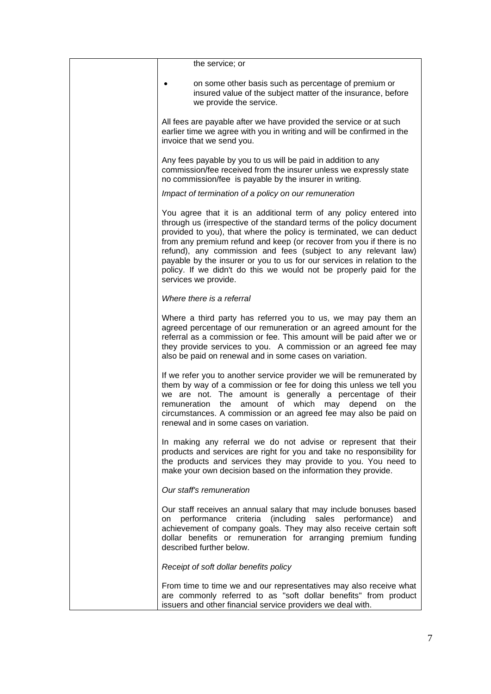| the service; or                                                                                                                                                                                                                                                                                                                                                                                                                                                                                                                        |
|----------------------------------------------------------------------------------------------------------------------------------------------------------------------------------------------------------------------------------------------------------------------------------------------------------------------------------------------------------------------------------------------------------------------------------------------------------------------------------------------------------------------------------------|
| on some other basis such as percentage of premium or<br>insured value of the subject matter of the insurance, before<br>we provide the service.                                                                                                                                                                                                                                                                                                                                                                                        |
| All fees are payable after we have provided the service or at such<br>earlier time we agree with you in writing and will be confirmed in the<br>invoice that we send you.                                                                                                                                                                                                                                                                                                                                                              |
| Any fees payable by you to us will be paid in addition to any<br>commission/fee received from the insurer unless we expressly state<br>no commission/fee is payable by the insurer in writing.                                                                                                                                                                                                                                                                                                                                         |
| Impact of termination of a policy on our remuneration                                                                                                                                                                                                                                                                                                                                                                                                                                                                                  |
| You agree that it is an additional term of any policy entered into<br>through us (irrespective of the standard terms of the policy document<br>provided to you), that where the policy is terminated, we can deduct<br>from any premium refund and keep (or recover from you if there is no<br>refund), any commission and fees (subject to any relevant law)<br>payable by the insurer or you to us for our services in relation to the<br>policy. If we didn't do this we would not be properly paid for the<br>services we provide. |
| Where there is a referral                                                                                                                                                                                                                                                                                                                                                                                                                                                                                                              |
| Where a third party has referred you to us, we may pay them an<br>agreed percentage of our remuneration or an agreed amount for the<br>referral as a commission or fee. This amount will be paid after we or<br>they provide services to you. A commission or an agreed fee may<br>also be paid on renewal and in some cases on variation.                                                                                                                                                                                             |
| If we refer you to another service provider we will be remunerated by<br>them by way of a commission or fee for doing this unless we tell you<br>we are not. The amount is generally a percentage of their<br>amount of which<br>the<br>remuneration<br>may<br>depend<br>the<br>on<br>circumstances. A commission or an agreed fee may also be paid on<br>renewal and in some cases on variation.                                                                                                                                      |
| In making any referral we do not advise or represent that their<br>products and services are right for you and take no responsibility for<br>the products and services they may provide to you. You need to<br>make your own decision based on the information they provide.                                                                                                                                                                                                                                                           |
| Our staff's remuneration                                                                                                                                                                                                                                                                                                                                                                                                                                                                                                               |
| Our staff receives an annual salary that may include bonuses based<br>criteria<br>performance<br>(including<br>sales<br>performance)<br>and<br>on<br>achievement of company goals. They may also receive certain soft<br>dollar benefits or remuneration for arranging premium funding<br>described further below.                                                                                                                                                                                                                     |
| Receipt of soft dollar benefits policy                                                                                                                                                                                                                                                                                                                                                                                                                                                                                                 |
| From time to time we and our representatives may also receive what<br>are commonly referred to as "soft dollar benefits" from product<br>issuers and other financial service providers we deal with.                                                                                                                                                                                                                                                                                                                                   |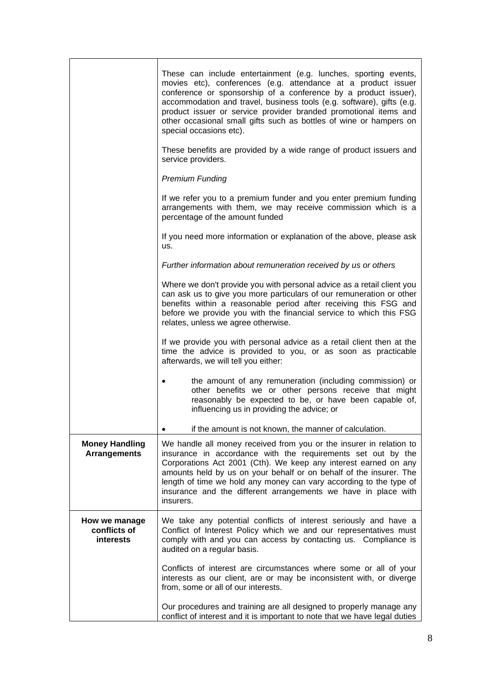|                                              | These can include entertainment (e.g. lunches, sporting events,<br>movies etc), conferences (e.g. attendance at a product issuer<br>conference or sponsorship of a conference by a product issuer),<br>accommodation and travel, business tools (e.g. software), gifts (e.g.<br>product issuer or service provider branded promotional items and<br>other occasional small gifts such as bottles of wine or hampers on<br>special occasions etc). |
|----------------------------------------------|---------------------------------------------------------------------------------------------------------------------------------------------------------------------------------------------------------------------------------------------------------------------------------------------------------------------------------------------------------------------------------------------------------------------------------------------------|
|                                              | These benefits are provided by a wide range of product issuers and<br>service providers.                                                                                                                                                                                                                                                                                                                                                          |
|                                              | <b>Premium Funding</b>                                                                                                                                                                                                                                                                                                                                                                                                                            |
|                                              | If we refer you to a premium funder and you enter premium funding<br>arrangements with them, we may receive commission which is a<br>percentage of the amount funded                                                                                                                                                                                                                                                                              |
|                                              | If you need more information or explanation of the above, please ask<br>us.                                                                                                                                                                                                                                                                                                                                                                       |
|                                              | Further information about remuneration received by us or others                                                                                                                                                                                                                                                                                                                                                                                   |
|                                              | Where we don't provide you with personal advice as a retail client you<br>can ask us to give you more particulars of our remuneration or other<br>benefits within a reasonable period after receiving this FSG and<br>before we provide you with the financial service to which this FSG<br>relates, unless we agree otherwise.                                                                                                                   |
|                                              | If we provide you with personal advice as a retail client then at the<br>time the advice is provided to you, or as soon as practicable<br>afterwards, we will tell you either:                                                                                                                                                                                                                                                                    |
|                                              | the amount of any remuneration (including commission) or<br>other benefits we or other persons receive that might<br>reasonably be expected to be, or have been capable of,<br>influencing us in providing the advice; or                                                                                                                                                                                                                         |
|                                              | if the amount is not known, the manner of calculation.                                                                                                                                                                                                                                                                                                                                                                                            |
| <b>Money Handling</b><br><b>Arrangements</b> | We handle all money received from you or the insurer in relation to<br>insurance in accordance with the requirements set out by the<br>Corporations Act 2001 (Cth). We keep any interest earned on any<br>amounts held by us on your behalf or on behalf of the insurer. The<br>length of time we hold any money can vary according to the type of<br>insurance and the different arrangements we have in place with<br>insurers.                 |
| How we manage<br>conflicts of<br>interests   | We take any potential conflicts of interest seriously and have a<br>Conflict of Interest Policy which we and our representatives must<br>comply with and you can access by contacting us. Compliance is<br>audited on a regular basis.                                                                                                                                                                                                            |
|                                              | Conflicts of interest are circumstances where some or all of your<br>interests as our client, are or may be inconsistent with, or diverge<br>from, some or all of our interests.                                                                                                                                                                                                                                                                  |
|                                              | Our procedures and training are all designed to properly manage any<br>conflict of interest and it is important to note that we have legal duties                                                                                                                                                                                                                                                                                                 |